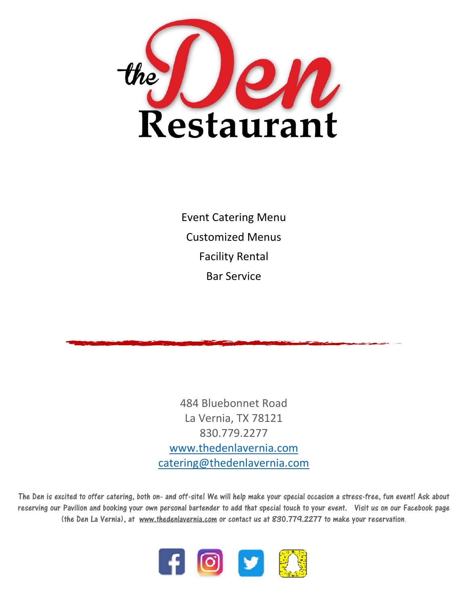

Event Catering Menu Customized Menus Facility Rental Bar Service

484 Bluebonnet Road La Vernia, TX 78121 830.779.2277 [www.thedenlavernia.com](http://www.thedenlavernia.com/) [catering@thedenlavernia.com](mailto:catering@thedenlavernia.com)

The Den is excited to offer catering, both on- and off-site! We will help make your special occasion a stress-free, fun event! Ask about reserving our Pavilion and booking your own personal bartender to add that special touch to your event. Visit us on our Facebook page (the Den La Vernia), at [www.thedenlavernia.com](http://www.thedenlavernia.com/) or contact us at 830.779.2277 to make your reservation.

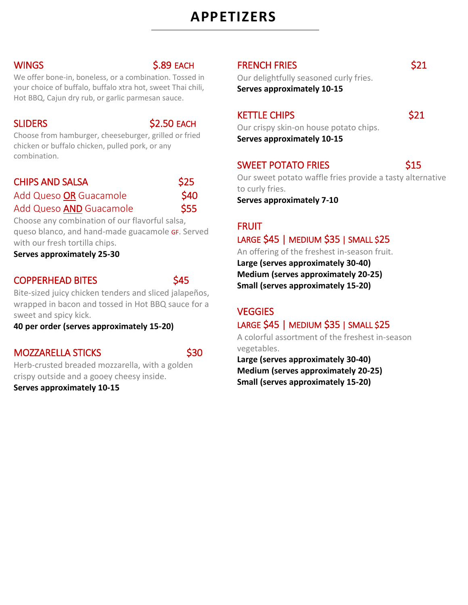# **APPETIZERS**

#### WINGS S.89 EACH

We offer bone-in, boneless, or a combination. Tossed in your choice of buffalo, buffalo xtra hot, sweet Thai chili, Hot BBQ, Cajun dry rub, or garlic parmesan sauce.

SLIDERS \$2.50 EACH

Choose from hamburger, cheeseburger, grilled or fried chicken or buffalo chicken, pulled pork, or any combination.

| <b>CHIPS AND SALSA</b>  | \$25 |
|-------------------------|------|
| Add Queso OR Guacamole  | \$40 |
| Add Queso AND Guacamole | \$55 |

Choose any combination of our flavorful salsa, queso blanco, and hand-made guacamole GF. Served with our fresh tortilla chips.

**Serves approximately 25-30** 

#### COPPERHEAD BITES 645

Bite-sized juicy chicken tenders and sliced jalapeños, wrapped in bacon and tossed in Hot BBQ sauce for a sweet and spicy kick.

**40 per order (serves approximately 15-20)**

### MOZZARELLA STICKS \$30

Herb-crusted breaded mozzarella, with a golden crispy outside and a gooey cheesy inside.

**Serves approximately 10-15**

### FRENCH FRIES \$21

Our delightfully seasoned curly fries.

**Serves approximately 10-15**

### KETTLE CHIPS **\$21**

Our crispy skin-on house potato chips. **Serves approximately 10-15**

### SWEET POTATO FRIES 615

Our sweet potato waffle fries provide a tasty alternative to curly fries.

**Serves approximately 7-10**

#### FRUIT

### LARGE \$45 | MEDIUM \$35 | SMALL \$25

An offering of the freshest in-season fruit. **Large (serves approximately 30-40) Medium (serves approximately 20-25) Small (serves approximately 15-20)**

### **VEGGIES**

### LARGE \$45 | MEDIUM \$35 | SMALL \$25

A colorful assortment of the freshest in-season vegetables.

**Large (serves approximately 30-40) Medium (serves approximately 20-25) Small (serves approximately 15-20)**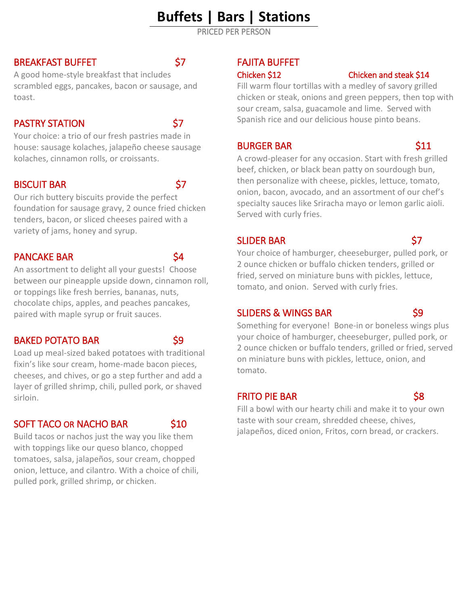# **Buffets | Bars | Stations**

PRICED PER PERSON

#### BREAKFAST BUFFET \$7

A good home-style breakfast that includes scrambled eggs, pancakes, bacon or sausage, and toast.

### PASTRY STATION 57

Your choice: a trio of our fresh pastries made in house: sausage kolaches, jalapeño cheese sausage kolaches, cinnamon rolls, or croissants.

#### BISCUIT BAR \$7

Our rich buttery biscuits provide the perfect foundation for sausage gravy, 2 ounce fried chicken tenders, bacon, or sliced cheeses paired with a variety of jams, honey and syrup.

### PANCAKE BAR \$4

An assortment to delight all your guests! Choose between our pineapple upside down, cinnamon roll, or toppings like fresh berries, bananas, nuts, chocolate chips, apples, and peaches pancakes, paired with maple syrup or fruit sauces.

### BAKED POTATO BAR \$9

Load up meal-sized baked potatoes with traditional fixin's like sour cream, home-made bacon pieces, cheeses, and chives, or go a step further and add a layer of grilled shrimp, chili, pulled pork, or shaved sirloin.

### SOFT TACO OR NACHO BAR
SOFT TACO OR NACHO BAR
SIO

Build tacos or nachos just the way you like them with toppings like our queso blanco, chopped tomatoes, salsa, jalapeños, sour cream, chopped onion, lettuce, and cilantro. With a choice of chili, pulled pork, grilled shrimp, or chicken.

### FAJITA BUFFET

#### Chicken \$12 Chicken and steak \$14

Fill warm flour tortillas with a medley of savory grilled chicken or steak, onions and green peppers, then top with sour cream, salsa, guacamole and lime. Served with Spanish rice and our delicious house pinto beans.

#### BURGER BAR \$11

A crowd-pleaser for any occasion. Start with fresh grilled beef, chicken, or black bean patty on sourdough bun, then personalize with cheese, pickles, lettuce, tomato, onion, bacon, avocado, and an assortment of our chef's specialty sauces like Sriracha mayo or lemon garlic aioli. Served with curly fries.

### SLIDER BAR \$7

Your choice of hamburger, cheeseburger, pulled pork, or 2 ounce chicken or buffalo chicken tenders, grilled or fried, served on miniature buns with pickles, lettuce, tomato, and onion. Served with curly fries.

#### SLIDERS & WINGS BAR \$9

Something for everyone! Bone-in or boneless wings plus your choice of hamburger, cheeseburger, pulled pork, or 2 ounce chicken or buffalo tenders, grilled or fried, served on miniature buns with pickles, lettuce, onion, and tomato.

### FRITO PIE BAR \$8

Fill a bowl with our hearty chili and make it to your own taste with sour cream, shredded cheese, chives, jalapeños, diced onion, Fritos, corn bread, or crackers.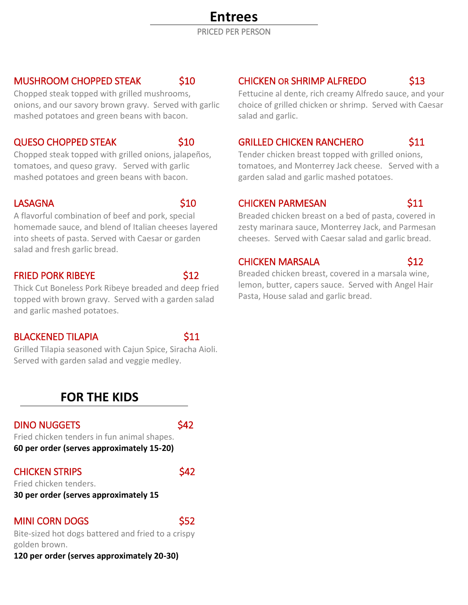# **Entrees**

PRICED PER PERSON

#### MUSHROOM CHOPPED STEAK \$10

Chopped steak topped with grilled mushrooms, onions, and our savory brown gravy. Served with garlic mashed potatoes and green beans with bacon.

#### QUESO CHOPPED STEAK \$10

Chopped steak topped with grilled onions, jalapeños, tomatoes, and queso gravy. Served with garlic mashed potatoes and green beans with bacon.

#### LASAGNA \$10

A flavorful combination of beef and pork, special homemade sauce, and blend of Italian cheeses layered into sheets of pasta. Served with Caesar or garden salad and fresh garlic bread.

#### **FRIED PORK RIBEYE** \$12

Thick Cut Boneless Pork Ribeye breaded and deep fried topped with brown gravy. Served with a garden salad and garlic mashed potatoes.

#### BLACKENED TILAPIA **\$11**

Grilled Tilapia seasoned with Cajun Spice, Siracha Aioli. Served with garden salad and veggie medley.

### **FOR THE KIDS**

#### DINO NUGGETS S42

Fried chicken tenders in fun animal shapes. **60 per order (serves approximately 15-20)**

### CHICKEN STRIPS \$42

Fried chicken tenders. **30 per order (serves approximately 15**

### MINI CORN DOGS \$52

Bite-sized hot dogs battered and fried to a crispy golden brown.

### **120 per order (serves approximately 20-30)**

## CHICKEN OR SHRIMP ALFREDO \$13

Fettucine al dente, rich creamy Alfredo sauce, and your choice of grilled chicken or shrimp. Served with Caesar salad and garlic.

### GRILLED CHICKEN RANCHERO \$11

Tender chicken breast topped with grilled onions, tomatoes, and Monterrey Jack cheese. Served with a garden salad and garlic mashed potatoes.

### CHICKEN PARMESAN \$11

Breaded chicken breast on a bed of pasta, covered in zesty marinara sauce, Monterrey Jack, and Parmesan cheeses. Served with Caesar salad and garlic bread.

#### CHICKEN MARSALA \$12

Breaded chicken breast, covered in a marsala wine, lemon, butter, capers sauce. Served with Angel Hair Pasta, House salad and garlic bread.